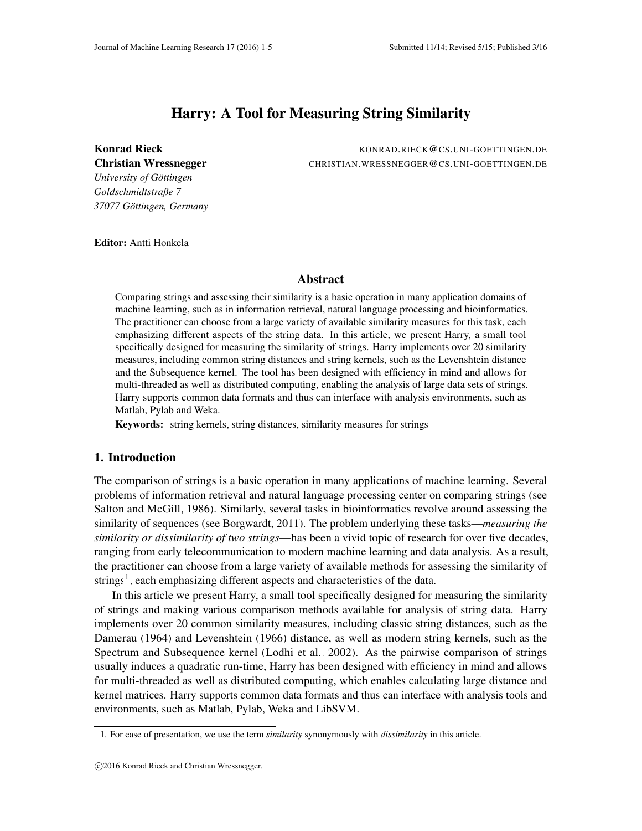# Harry: A Tool for Measuring String Similarity

*University of Gottingen ¨ Goldschmidtstraße 7*

*37077 Gottingen, Germany ¨*

Konrad Rieck KONRAD.RIECK@CS.UNI-GOETTINGEN.DE Christian Wressnegger **CHRISTIAN.WRESSNEGGER@CS.UNI-GOETTINGEN.DE** 

Editor: Antti Honkela

#### Abstract

Comparing strings and assessing their similarity is a basic operation in many application domains of machine learning, such as in information retrieval, natural language processing and bioinformatics. The practitioner can choose from a large variety of available similarity measures for this task, each emphasizing different aspects of the string data. In this article, we present Harry, a small tool specifically designed for measuring the similarity of strings. Harry implements over 20 similarity measures, including common string distances and string kernels, such as the Levenshtein distance and the Subsequence kernel. The tool has been designed with efficiency in mind and allows for multi-threaded as well as distributed computing, enabling the analysis of large data sets of strings. Harry supports common data formats and thus can interface with analysis environments, such as Matlab, Pylab and Weka.

Keywords: string kernels, string distances, similarity measures for strings

## 1. Introduction

The comparison of strings is a basic operation in many applications of machine learning. Several problems of information retrieval and natural language processing center on comparing strings (see [Salton and McGill, 1986\)](#page-4-0). Similarly, several tasks in bioinformatics revolve around assessing the similarity of sequences (see [Borgwardt, 2011\)](#page-4-1). The problem underlying these tasks—*measuring the similarity or dissimilarity of two strings*—has been a vivid topic of research for over five decades, ranging from early telecommunication to modern machine learning and data analysis. As a result, the practitioner can choose from a large variety of available methods for assessing the similarity of strings<sup>[1](#page-0-0)</sup>, each emphasizing different aspects and characteristics of the data.

In this article we present Harry, a small tool specifically designed for measuring the similarity of strings and making various comparison methods available for analysis of string data. Harry implements over 20 common similarity measures, including classic string distances, such as the [Damerau](#page-4-2) [\(1964\)](#page-4-2) and [Levenshtein](#page-4-3) [\(1966\)](#page-4-3) distance, as well as modern string kernels, such as the Spectrum and Subsequence kernel [\(Lodhi et al., 2002\)](#page-4-4). As the pairwise comparison of strings usually induces a quadratic run-time, Harry has been designed with efficiency in mind and allows for multi-threaded as well as distributed computing, which enables calculating large distance and kernel matrices. Harry supports common data formats and thus can interface with analysis tools and environments, such as Matlab, Pylab, Weka and LibSVM.

<span id="page-0-0"></span><sup>1.</sup> For ease of presentation, we use the term *similarity* synonymously with *dissimilarity* in this article.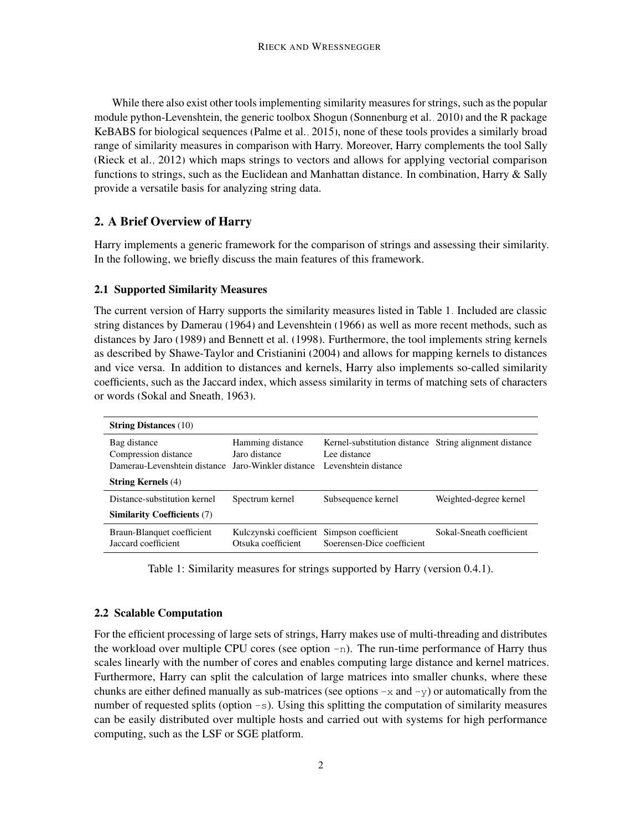While there also exist other tools implementing similarity measures for strings, such as the popular module python-Levenshtein, the generic toolbox Shogun [\(Sonnenburg et al., 2010\)](#page-4-5) and the R package KeBABS for biological sequences [\(Palme et al., 2015\)](#page-4-6), none of these tools provides a similarly broad range of similarity measures in comparison with Harry. Moreover, Harry complements the tool Sally [\(Rieck et al., 2012\)](#page-4-7) which maps strings to vectors and allows for applying vectorial comparison functions to strings, such as the Euclidean and Manhattan distance. In combination, Harry & Sally provide a versatile basis for analyzing string data.

## 2. A Brief Overview of Harry

Harry implements a generic framework for the comparison of strings and assessing their similarity. In the following, we briefly discuss the main features of this framework.

## 2.1 Supported Similarity Measures

The current version of Harry supports the similarity measures listed in Table [1.](#page-1-0) Included are classic string distances by [Damerau](#page-4-2) [\(1964\)](#page-4-2) and [Levenshtein](#page-4-3) [\(1966\)](#page-4-3) as well as more recent methods, such as distances by [Jaro](#page-4-8) [\(1989\)](#page-4-8) and [Bennett et al.](#page-4-9) [\(1998\)](#page-4-9). Furthermore, the tool implements string kernels as described by [Shawe-Taylor and Cristianini](#page-4-10) [\(2004\)](#page-4-10) and allows for mapping kernels to distances and vice versa. In addition to distances and kernels, Harry also implements so-called similarity coefficients, such as the Jaccard index, which assess similarity in terms of matching sets of characters or words [\(Sokal and Sneath, 1963\)](#page-4-11).

| <b>String Distances</b> (10)                                                               |                                                                  |                                                                                                |                          |
|--------------------------------------------------------------------------------------------|------------------------------------------------------------------|------------------------------------------------------------------------------------------------|--------------------------|
| Bag distance<br>Compression distance<br>Damerau-Levenshtein distance Jaro-Winkler distance | Hamming distance<br>Jaro distance                                | Kernel-substitution distance String alignment distance<br>Lee distance<br>Levenshtein distance |                          |
| <b>String Kernels</b> (4)                                                                  |                                                                  |                                                                                                |                          |
| Distance-substitution kernel                                                               | Spectrum kernel                                                  | Subsequence kernel                                                                             | Weighted-degree kernel   |
| <b>Similarity Coefficients (7)</b>                                                         |                                                                  |                                                                                                |                          |
| Braun-Blanquet coefficient<br>Jaccard coefficient                                          | Kulczynski coefficient Simpson coefficient<br>Otsuka coefficient | Soerensen-Dice coefficient                                                                     | Sokal-Sneath coefficient |

<span id="page-1-0"></span>Table 1: Similarity measures for strings supported by Harry (version 0.4.1).

## 2.2 Scalable Computation

For the efficient processing of large sets of strings, Harry makes use of multi-threading and distributes the workload over multiple CPU cores (see option  $-n$ ). The run-time performance of Harry thus scales linearly with the number of cores and enables computing large distance and kernel matrices. Furthermore, Harry can split the calculation of large matrices into smaller chunks, where these chunks are either defined manually as sub-matrices (see options  $-x$  and  $-y$ ) or automatically from the number of requested splits (option  $-s$ ). Using this splitting the computation of similarity measures can be easily distributed over multiple hosts and carried out with systems for high performance computing, such as the LSF or SGE platform.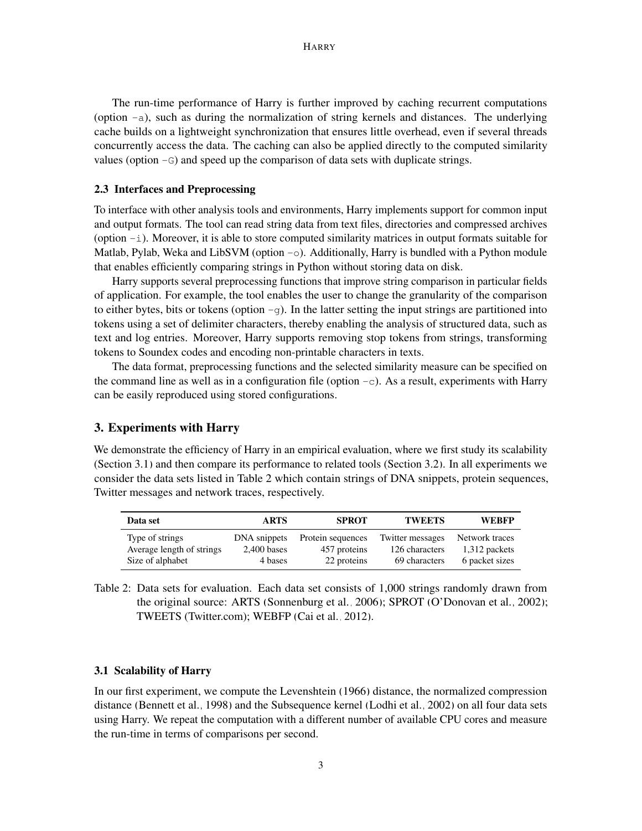The run-time performance of Harry is further improved by caching recurrent computations (option  $-a$ ), such as during the normalization of string kernels and distances. The underlying cache builds on a lightweight synchronization that ensures little overhead, even if several threads concurrently access the data. The caching can also be applied directly to the computed similarity values (option -G) and speed up the comparison of data sets with duplicate strings.

## 2.3 Interfaces and Preprocessing

To interface with other analysis tools and environments, Harry implements support for common input and output formats. The tool can read string data from text files, directories and compressed archives (option  $-i$ ). Moreover, it is able to store computed similarity matrices in output formats suitable for Matlab, Pylab, Weka and LibSVM (option  $-\circ$ ). Additionally, Harry is bundled with a Python module that enables efficiently comparing strings in Python without storing data on disk.

Harry supports several preprocessing functions that improve string comparison in particular fields of application. For example, the tool enables the user to change the granularity of the comparison to either bytes, bits or tokens (option  $-q$ ). In the latter setting the input strings are partitioned into tokens using a set of delimiter characters, thereby enabling the analysis of structured data, such as text and log entries. Moreover, Harry supports removing stop tokens from strings, transforming tokens to Soundex codes and encoding non-printable characters in texts.

The data format, preprocessing functions and the selected similarity measure can be specified on the command line as well as in a configuration file (option  $-c$ ). As a result, experiments with Harry can be easily reproduced using stored configurations.

### 3. Experiments with Harry

We demonstrate the efficiency of Harry in an empirical evaluation, where we first study its scalability (Section [3.1\)](#page-2-0) and then compare its performance to related tools (Section [3.2\)](#page-3-0). In all experiments we consider the data sets listed in Table [2](#page-2-1) which contain strings of DNA snippets, protein sequences, Twitter messages and network traces, respectively.

| Data set                  | ARTS          | <b>SPROT</b>      | <b>TWEETS</b>    | WEBFP          |
|---------------------------|---------------|-------------------|------------------|----------------|
| Type of strings           | DNA snippets  | Protein sequences | Twitter messages | Network traces |
| Average length of strings | $2,400$ bases | 457 proteins      | 126 characters   | 1,312 packets  |
| Size of alphabet          | 4 bases       | 22 proteins       | 69 characters    | 6 packet sizes |

<span id="page-2-1"></span>Table 2: Data sets for evaluation. Each data set consists of 1,000 strings randomly drawn from the original source: ARTS [\(Sonnenburg et al., 2006\)](#page-4-12); SPROT [\(O'Donovan et al., 2002\)](#page-4-13); TWEETS (Twitter.com); WEBFP [\(Cai et al., 2012\)](#page-4-14).

#### <span id="page-2-0"></span>3.1 Scalability of Harry

In our first experiment, we compute the [Levenshtein](#page-4-3) [\(1966\)](#page-4-3) distance, the normalized compression distance [\(Bennett et al., 1998\)](#page-4-9) and the Subsequence kernel [\(Lodhi et al., 2002\)](#page-4-4) on all four data sets using Harry. We repeat the computation with a different number of available CPU cores and measure the run-time in terms of comparisons per second.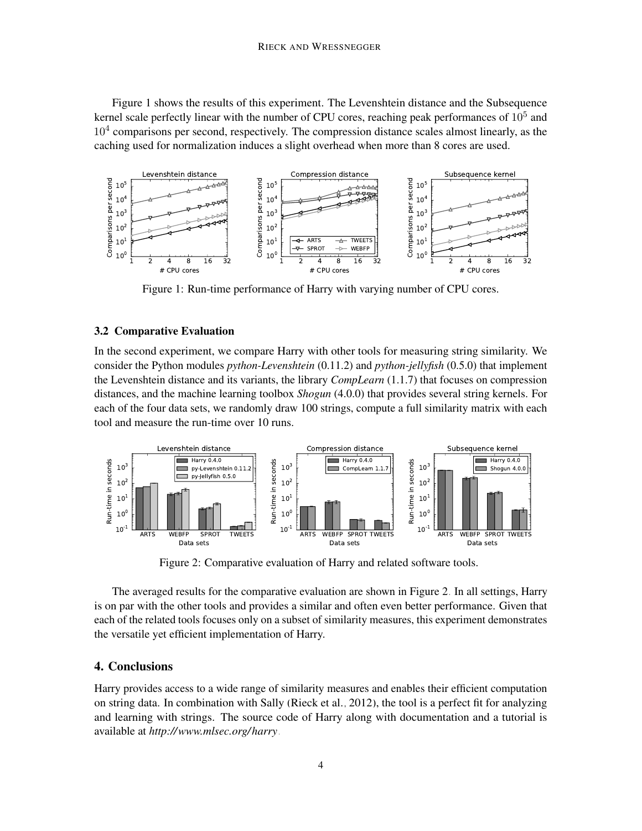Figure [1](#page-3-1) shows the results of this experiment. The Levenshtein distance and the Subsequence kernel scale perfectly linear with the number of CPU cores, reaching peak performances of  $10^5$  and  $10<sup>4</sup>$  comparisons per second, respectively. The compression distance scales almost linearly, as the caching used for normalization induces a slight overhead when more than 8 cores are used.



<span id="page-3-1"></span>Figure 1: Run-time performance of Harry with varying number of CPU cores.

#### <span id="page-3-0"></span>3.2 Comparative Evaluation

In the second experiment, we compare Harry with other tools for measuring string similarity. We consider the Python modules *python-Levenshtein* (0.11.2) and *python-jellyfish* (0.5.0) that implement the Levenshtein distance and its variants, the library *CompLearn* (1.1.7) that focuses on compression distances, and the machine learning toolbox *Shogun* (4.0.0) that provides several string kernels. For each of the four data sets, we randomly draw 100 strings, compute a full similarity matrix with each tool and measure the run-time over 10 runs.



<span id="page-3-2"></span>Figure 2: Comparative evaluation of Harry and related software tools.

The averaged results for the comparative evaluation are shown in Figure [2.](#page-3-2) In all settings, Harry is on par with the other tools and provides a similar and often even better performance. Given that each of the related tools focuses only on a subset of similarity measures, this experiment demonstrates the versatile yet efficient implementation of Harry.

## 4. Conclusions

Harry provides access to a wide range of similarity measures and enables their efficient computation on string data. In combination with Sally [\(Rieck et al., 2012\)](#page-4-7), the tool is a perfect fit for analyzing and learning with strings. The source code of Harry along with documentation and a tutorial is available at *[http://www.mlsec.org/ harry](http://www.mlsec.org/harry)*.